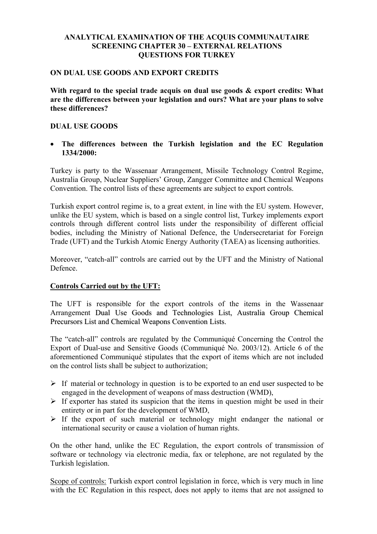# **ANALYTICAL EXAMINATION OF THE ACQUIS COMMUNAUTAIRE SCREENING CHAPTER 30 – EXTERNAL RELATIONS QUESTIONS FOR TURKEY**

### **ON DUAL USE GOODS AND EXPORT CREDITS**

**With regard to the special trade acquis on dual use goods & export credits: What are the differences between your legislation and ours? What are your plans to solve these differences?** 

### **DUAL USE GOODS**

• **The differences between the Turkish legislation and the EC Regulation 1334/2000:** 

Turkey is party to the Wassenaar Arrangement, Missile Technology Control Regime, Australia Group, Nuclear Suppliers' Group, Zangger Committee and Chemical Weapons Convention. The control lists of these agreements are subject to export controls.

Turkish export control regime is, to a great extent, in line with the EU system. However, unlike the EU system, which is based on a single control list, Turkey implements export controls through different control lists under the responsibility of different official bodies, including the Ministry of National Defence, the Undersecretariat for Foreign Trade (UFT) and the Turkish Atomic Energy Authority (TAEA) as licensing authorities.

Moreover, "catch-all" controls are carried out by the UFT and the Ministry of National Defence.

### **Controls Carried out by the UFT:**

The UFT is responsible for the export controls of the items in the Wassenaar Arrangement Dual Use Goods and Technologies List, Australia Group Chemical Precursors List and Chemical Weapons Convention Lists.

The "catch-all" controls are regulated by the Communiqué Concerning the Control the Export of Dual-use and Sensitive Goods (Communiqué No. 2003/12). Article 6 of the aforementioned Communiqué stipulates that the export of items which are not included on the control lists shall be subject to authorization;

- $\triangleright$  If material or technology in question is to be exported to an end user suspected to be engaged in the development of weapons of mass destruction (WMD),
- $\triangleright$  If exporter has stated its suspicion that the items in question might be used in their entirety or in part for the development of WMD,
- $\triangleright$  If the export of such material or technology might endanger the national or international security or cause a violation of human rights.

On the other hand, unlike the EC Regulation, the export controls of transmission of software or technology via electronic media, fax or telephone, are not regulated by the Turkish legislation.

Scope of controls: Turkish export control legislation in force, which is very much in line with the EC Regulation in this respect, does not apply to items that are not assigned to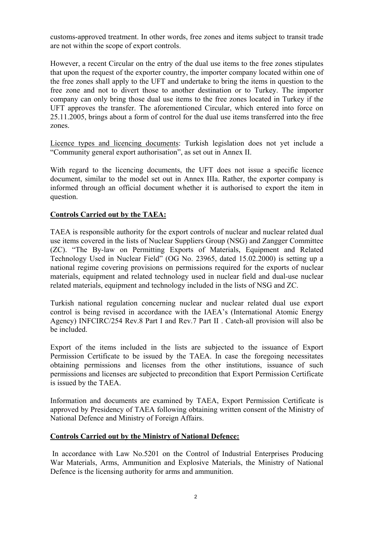customs-approved treatment. In other words, free zones and items subject to transit trade are not within the scope of export controls.

However, a recent Circular on the entry of the dual use items to the free zones stipulates that upon the request of the exporter country, the importer company located within one of the free zones shall apply to the UFT and undertake to bring the items in question to the free zone and not to divert those to another destination or to Turkey. The importer company can only bring those dual use items to the free zones located in Turkey if the UFT approves the transfer. The aforementioned Circular, which entered into force on 25.11.2005, brings about a form of control for the dual use items transferred into the free zones.

Licence types and licencing documents: Turkish legislation does not yet include a "Community general export authorisation", as set out in Annex II.

With regard to the licencing documents, the UFT does not issue a specific licence document, similar to the model set out in Annex IIIa. Rather, the exporter company is informed through an official document whether it is authorised to export the item in question.

# **Controls Carried out by the TAEA:**

TAEA is responsible authority for the export controls of nuclear and nuclear related dual use items covered in the lists of Nuclear Suppliers Group (NSG) and Zangger Committee (ZC). "The By-law on Permitting Exports of Materials, Equipment and Related Technology Used in Nuclear Field" (OG No. 23965, dated 15.02.2000) is setting up a national regime covering provisions on permissions required for the exports of nuclear materials, equipment and related technology used in nuclear field and dual-use nuclear related materials, equipment and technology included in the lists of NSG and ZC.

Turkish national regulation concerning nuclear and nuclear related dual use export control is being revised in accordance with the IAEA's (International Atomic Energy Agency) INFCIRC/254 Rev.8 Part I and Rev.7 Part II . Catch-all provision will also be be included.

Export of the items included in the lists are subjected to the issuance of Export Permission Certificate to be issued by the TAEA. In case the foregoing necessitates obtaining permissions and licenses from the other institutions, issuance of such permissions and licenses are subjected to precondition that Export Permission Certificate is issued by the TAEA.

Information and documents are examined by TAEA, Export Permission Certificate is approved by Presidency of TAEA following obtaining written consent of the Ministry of National Defence and Ministry of Foreign Affairs.

### **Controls Carried out by the Ministry of National Defence:**

 In accordance with Law No.5201 on the Control of Industrial Enterprises Producing War Materials, Arms, Ammunition and Explosive Materials, the Ministry of National Defence is the licensing authority for arms and ammunition.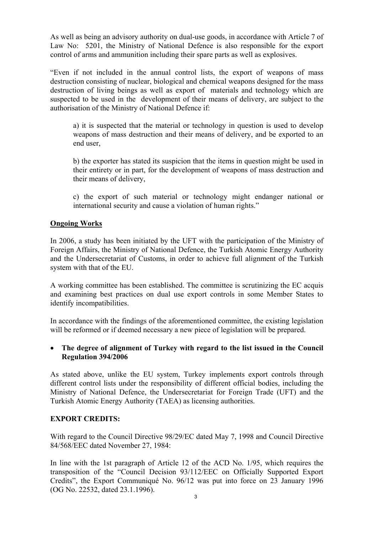As well as being an advisory authority on dual-use goods, in accordance with Article 7 of Law No: 5201, the Ministry of National Defence is also responsible for the export control of arms and ammunition including their spare parts as well as explosives.

"Even if not included in the annual control lists, the export of weapons of mass destruction consisting of nuclear, biological and chemical weapons designed for the mass destruction of living beings as well as export of materials and technology which are suspected to be used in the development of their means of delivery, are subject to the authorisation of the Ministry of National Defence if:

a) it is suspected that the material or technology in question is used to develop weapons of mass destruction and their means of delivery, and be exported to an end user,

b) the exporter has stated its suspicion that the items in question might be used in their entirety or in part, for the development of weapons of mass destruction and their means of delivery,

c) the export of such material or technology might endanger national or international security and cause a violation of human rights."

# **Ongoing Works**

In 2006, a study has been initiated by the UFT with the participation of the Ministry of Foreign Affairs, the Ministry of National Defence, the Turkish Atomic Energy Authority and the Undersecretariat of Customs, in order to achieve full alignment of the Turkish system with that of the EU.

A working committee has been established. The committee is scrutinizing the EC acquis and examining best practices on dual use export controls in some Member States to identify incompatibilities.

In accordance with the findings of the aforementioned committee, the existing legislation will be reformed or if deemed necessary a new piece of legislation will be prepared.

### • **The degree of alignment of Turkey with regard to the list issued in the Council Regulation 394/2006**

As stated above, unlike the EU system, Turkey implements export controls through different control lists under the responsibility of different official bodies, including the Ministry of National Defence, the Undersecretariat for Foreign Trade (UFT) and the Turkish Atomic Energy Authority (TAEA) as licensing authorities.

# **EXPORT CREDITS:**

With regard to the Council Directive 98/29/EC dated May 7, 1998 and Council Directive 84/568/EEC dated November 27, 1984:

In line with the 1st paragraph of Article 12 of the ACD No. 1/95, which requires the transposition of the "Council Decision 93/112/EEC on Officially Supported Export Credits", the Export Communiqué No. 96/12 was put into force on 23 January 1996 (OG No. 22532, dated 23.1.1996).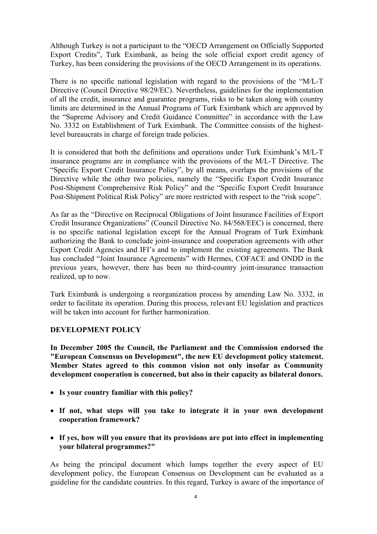Although Turkey is not a participant to the "OECD Arrangement on Officially Supported Export Credits", Turk Eximbank, as being the sole official export credit agency of Turkey, has been considering the provisions of the OECD Arrangement in its operations.

There is no specific national legislation with regard to the provisions of the "M/L-T Directive (Council Directive 98/29/EC). Nevertheless, guidelines for the implementation of all the credit, insurance and guarantee programs, risks to be taken along with country limits are determined in the Annual Programs of Turk Eximbank which are approved by the "Supreme Advisory and Credit Guidance Committee" in accordance with the Law No. 3332 on Establishment of Turk Eximbank. The Committee consists of the highestlevel bureaucrats in charge of foreign trade policies.

It is considered that both the definitions and operations under Turk Eximbank's M/L-T insurance programs are in compliance with the provisions of the M/L-T Directive. The "Specific Export Credit Insurance Policy", by all means, overlaps the provisions of the Directive while the other two policies, namely the "Specific Export Credit Insurance" Post-Shipment Comprehensive Risk Policy" and the "Specific Export Credit Insurance Post-Shipment Political Risk Policy" are more restricted with respect to the "risk scope".

As far as the "Directive on Reciprocal Obligations of Joint Insurance Facilities of Export Credit Insurance Organizations" (Council Directive No. 84/568/EEC) is concerned, there is no specific national legislation except for the Annual Program of Turk Eximbank authorizing the Bank to conclude joint-insurance and cooperation agreements with other Export Credit Agencies and IFI's and to implement the existing agreements. The Bank has concluded "Joint Insurance Agreements" with Hermes, COFACE and ONDD in the previous years, however, there has been no third-country joint-insurance transaction realized, up to now.

Turk Eximbank is undergoing a reorganization process by amending Law No. 3332, in order to facilitate its operation. During this process, relevant EU legislation and practices will be taken into account for further harmonization.

### **DEVELOPMENT POLICY**

**In December 2005 the Council, the Parliament and the Commission endorsed the "European Consensus on Development", the new EU development policy statement. Member States agreed to this common vision not only insofar as Community development cooperation is concerned, but also in their capacity as bilateral donors.** 

- **Is your country familiar with this policy?**
- **If not, what steps will you take to integrate it in your own development cooperation framework?**
- **If yes, how will you ensure that its provisions are put into effect in implementing your bilateral programmes?"**

As being the principal document which lumps together the every aspect of EU development policy, the European Consensus on Development can be evaluated as a guideline for the candidate countries. In this regard, Turkey is aware of the importance of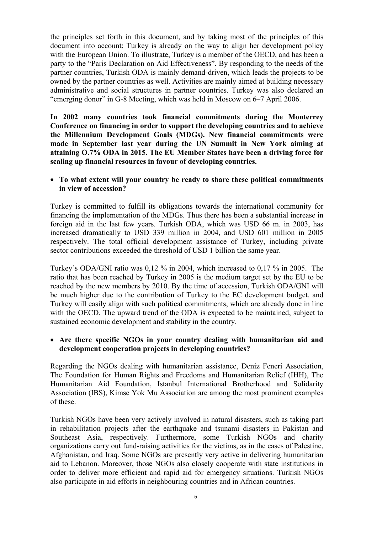the principles set forth in this document, and by taking most of the principles of this document into account; Turkey is already on the way to align her development policy with the European Union. To illustrate, Turkey is a member of the OECD, and has been a party to the "Paris Declaration on Aid Effectiveness". By responding to the needs of the partner countries, Turkish ODA is mainly demand-driven, which leads the projects to be owned by the partner countries as well. Activities are mainly aimed at building necessary administrative and social structures in partner countries. Turkey was also declared an "emerging donor" in G-8 Meeting, which was held in Moscow on 6–7 April 2006.

**In 2002 many countries took financial commitments during the Monterrey Conference on financing in order to support the developing countries and to achieve the Millennium Development Goals (MDGs). New financial commitments were made in September last year during the UN Summit in New York aiming at attaining O.7% ODA in 2015. The EU Member States have been a driving force for scaling up financial resources in favour of developing countries.** 

• **To what extent will your country be ready to share these political commitments in view of accession?** 

Turkey is committed to fulfill its obligations towards the international community for financing the implementation of the MDGs. Thus there has been a substantial increase in foreign aid in the last few years. Turkish ODA, which was USD 66 m. in 2003, has increased dramatically to USD 339 million in 2004, and USD 601 million in 2005 respectively. The total official development assistance of Turkey, including private sector contributions exceeded the threshold of USD 1 billion the same year.

Turkey's ODA/GNI ratio was 0,12 % in 2004, which increased to 0,17 % in 2005. The ratio that has been reached by Turkey in 2005 is the medium target set by the EU to be reached by the new members by 2010. By the time of accession, Turkish ODA/GNI will be much higher due to the contribution of Turkey to the EC development budget, and Turkey will easily align with such political commitments, which are already done in line with the OECD. The upward trend of the ODA is expected to be maintained, subject to sustained economic development and stability in the country.

### • **Are there specific NGOs in your country dealing with humanitarian aid and development cooperation projects in developing countries?**

Regarding the NGOs dealing with humanitarian assistance, Deniz Feneri Association, The Foundation for Human Rights and Freedoms and Humanitarian Relief (IHH), The Humanitarian Aid Foundation, Istanbul International Brotherhood and Solidarity Association (IBS), Kimse Yok Mu Association are among the most prominent examples of these.

Turkish NGOs have been very actively involved in natural disasters, such as taking part in rehabilitation projects after the earthquake and tsunami disasters in Pakistan and Southeast Asia, respectively. Furthermore, some Turkish NGOs and charity organizations carry out fund-raising activities for the victims, as in the cases of Palestine, Afghanistan, and Iraq. Some NGOs are presently very active in delivering humanitarian aid to Lebanon. Moreover, those NGOs also closely cooperate with state institutions in order to deliver more efficient and rapid aid for emergency situations. Turkish NGOs also participate in aid efforts in neighbouring countries and in African countries.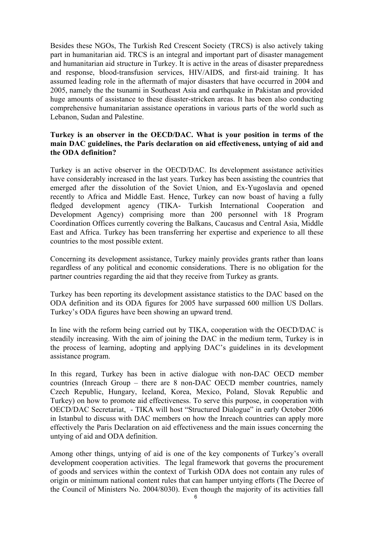Besides these NGOs, The Turkish Red Crescent Society (TRCS) is also actively taking part in humanitarian aid. TRCS is an integral and important part of disaster management and humanitarian aid structure in Turkey. It is active in the areas of disaster preparedness and response, blood-transfusion services, HIV/AIDS, and first-aid training. It has assumed leading role in the aftermath of major disasters that have occurred in 2004 and 2005, namely the the tsunami in Southeast Asia and earthquake in Pakistan and provided huge amounts of assistance to these disaster-stricken areas. It has been also conducting comprehensive humanitarian assistance operations in various parts of the world such as Lebanon, Sudan and Palestine.

# **Turkey is an observer in the OECD/DAC. What is your position in terms of the main DAC guidelines, the Paris declaration on aid effectiveness, untying of aid and the ODA definition?**

Turkey is an active observer in the OECD/DAC. Its development assistance activities have considerably increased in the last years. Turkey has been assisting the countries that emerged after the dissolution of the Soviet Union, and Ex-Yugoslavia and opened recently to Africa and Middle East. Hence, Turkey can now boast of having a fully fledged development agency (TIKA- Turkish International Cooperation and Development Agency) comprising more than 200 personnel with 18 Program Coordination Offices currently covering the Balkans, Caucasus and Central Asia, Middle East and Africa. Turkey has been transferring her expertise and experience to all these countries to the most possible extent.

Concerning its development assistance, Turkey mainly provides grants rather than loans regardless of any political and economic considerations. There is no obligation for the partner countries regarding the aid that they receive from Turkey as grants.

Turkey has been reporting its development assistance statistics to the DAC based on the ODA definition and its ODA figures for 2005 have surpassed 600 million US Dollars. Turkey's ODA figures have been showing an upward trend.

In line with the reform being carried out by TIKA, cooperation with the OECD/DAC is steadily increasing. With the aim of joining the DAC in the medium term, Turkey is in the process of learning, adopting and applying DAC's guidelines in its development assistance program.

In this regard, Turkey has been in active dialogue with non-DAC OECD member countries (Inreach Group – there are 8 non-DAC OECD member countries, namely Czech Republic, Hungary, Iceland, Korea, Mexico, Poland, Slovak Republic and Turkey) on how to promote aid effectiveness. To serve this purpose, in cooperation with OECD/DAC Secretariat, - TIKA will host "Structured Dialogue" in early October 2006 in Istanbul to discuss with DAC members on how the Inreach countries can apply more effectively the Paris Declaration on aid effectiveness and the main issues concerning the untying of aid and ODA definition.

Among other things, untying of aid is one of the key components of Turkey's overall development cooperation activities. The legal framework that governs the procurement of goods and services within the context of Turkish ODA does not contain any rules of origin or minimum national content rules that can hamper untying efforts (The Decree of the Council of Ministers No. 2004/8030). Even though the majority of its activities fall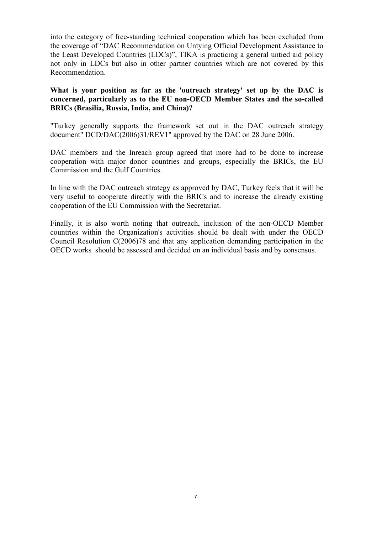into the category of free-standing technical cooperation which has been excluded from the coverage of "DAC Recommendation on Untying Official Development Assistance to the Least Developed Countries (LDCs)", TIKA is practicing a general untied aid policy not only in LDCs but also in other partner countries which are not covered by this Recommendation.

## **What is your position as far as the 'outreach strategy' set up by the DAC is concerned, particularly as to the EU non-OECD Member States and the so-called BRICs (Brasilia, Russia, India, and China)?**

"Turkey generally supports the framework set out in the DAC outreach strategy document" DCD/DAC(2006)31/REV1" approved by the DAC on 28 June 2006.

DAC members and the Inreach group agreed that more had to be done to increase cooperation with major donor countries and groups, especially the BRICs, the EU Commission and the Gulf Countries.

In line with the DAC outreach strategy as approved by DAC, Turkey feels that it will be very useful to cooperate directly with the BRICs and to increase the already existing cooperation of the EU Commission with the Secretariat.

Finally, it is also worth noting that outreach, inclusion of the non-OECD Member countries within the Organization's activities should be dealt with under the OECD Council Resolution C(2006)78 and that any application demanding participation in the OECD works should be assessed and decided on an individual basis and by consensus.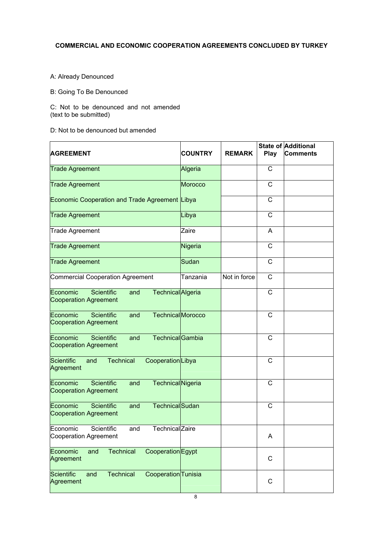## **COMMERCIAL AND ECONOMIC COOPERATION AGREEMENTS CONCLUDED BY TURKEY**

#### A: Already Denounced

#### B: Going To Be Denounced

C: Not to be denounced and not amended (text to be submitted)

D: Not to be denounced but amended

| <b>AGREEMENT</b>                                                                                 | <b>COUNTRY</b> | <b>REMARK</b> | Play         | State of Additional<br>Comments |
|--------------------------------------------------------------------------------------------------|----------------|---------------|--------------|---------------------------------|
| <b>Trade Agreement</b>                                                                           | Algeria        |               | C            |                                 |
| <b>Trade Agreement</b>                                                                           | <b>Morocco</b> |               | C            |                                 |
| Economic Cooperation and Trade Agreement Libya                                                   |                |               | C            |                                 |
| <b>Trade Agreement</b>                                                                           | Libya          |               | C            |                                 |
| <b>Trade Agreement</b>                                                                           | Zaire          |               | Α            |                                 |
| <b>Trade Agreement</b>                                                                           | Nigeria        |               | C            |                                 |
| <b>Trade Agreement</b>                                                                           | Sudan          |               | C            |                                 |
| <b>Commercial Cooperation Agreement</b>                                                          | Tanzania       | Not in force  | $\mathsf{C}$ |                                 |
| <b>Scientific</b><br>Economic<br>and<br><b>Technical</b> Algeria<br><b>Cooperation Agreement</b> |                |               | C            |                                 |
| TechnicalMorocco<br>Economic<br><b>Scientific</b><br>and<br><b>Cooperation Agreement</b>         |                |               | C            |                                 |
| Economic<br><b>Scientific</b><br><b>Technical</b> Gambia<br>and<br><b>Cooperation Agreement</b>  |                |               | C            |                                 |
| Scientific<br><b>Technical</b><br>CooperationLibya<br>and<br>Agreement                           |                |               | C            |                                 |
| <b>Scientific</b><br>Economic<br>and<br><b>Technical</b> Nigeria<br><b>Cooperation Agreement</b> |                |               | C            |                                 |
| <b>Technical</b> Sudan<br><b>Scientific</b><br>Economic<br>and<br><b>Cooperation Agreement</b>   |                |               | $\mathsf{C}$ |                                 |
| Economic<br>Scientific<br>and<br>Technical Zaire<br>Cooperation Agreement                        |                |               | A            |                                 |
| <b>Technical</b><br>Cooperation Egypt<br>Economic<br>and<br>Agreement                            |                |               | $\mathsf{C}$ |                                 |
| Scientific<br><b>Technical</b><br>Cooperation Tunisia<br>and<br>Agreement                        |                |               | C            |                                 |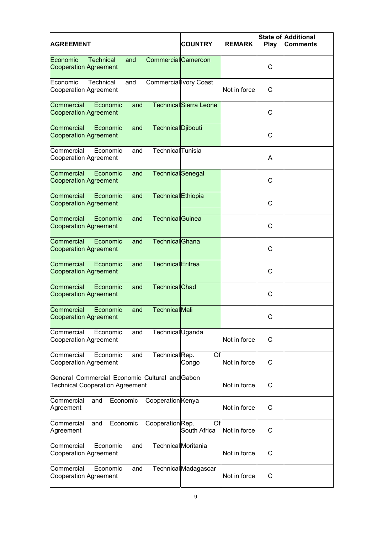| <b>AGREEMENT</b>                                                                         |                  |          |                            | <b>COUNTRY</b>                | <b>REMARK</b> | Play | State of Additional<br><b>Comments</b> |
|------------------------------------------------------------------------------------------|------------------|----------|----------------------------|-------------------------------|---------------|------|----------------------------------------|
| Economic<br><b>Cooperation Agreement</b>                                                 | <b>Technical</b> | and      | <b>Commercial</b> Cameroon |                               |               | С    |                                        |
| Economic<br><b>Cooperation Agreement</b>                                                 | Technical        | and      | Commercial Ivory Coast     |                               | Not in force  | С    |                                        |
| Commercial<br><b>Cooperation Agreement</b>                                               | Economic         | and      |                            | <b>Technical</b> Sierra Leone |               | С    |                                        |
| Commercial<br><b>Cooperation Agreement</b>                                               | Economic         | and      | Technical Djibouti         |                               |               | C    |                                        |
| Commercial<br><b>Cooperation Agreement</b>                                               | Economic         | and      | Technical Tunisia          |                               |               | A    |                                        |
| Commercial<br><b>Cooperation Agreement</b>                                               | Economic         | and      | <b>Technical</b> Senegal   |                               |               | С    |                                        |
| Commercial<br><b>Cooperation Agreement</b>                                               | Economic         | and      | Technical Ethiopia         |                               |               | C    |                                        |
| Commercial<br><b>Cooperation Agreement</b>                                               | Economic         | and      | Technical Guinea           |                               |               | C    |                                        |
| Commercial<br><b>Cooperation Agreement</b>                                               | Economic         | and      | <b>Technical</b> Ghana     |                               |               | C    |                                        |
| Commercial<br><b>Cooperation Agreement</b>                                               | Economic         | and      | <b>Technical</b> Eritrea   |                               |               | C    |                                        |
| Commercial<br><b>Cooperation Agreement</b>                                               | Economic         | and      | <b>Technical</b> Chad      |                               |               | C    |                                        |
| Commercial<br><b>Cooperation Agreement</b>                                               | Economic         | and      | <b>Technical</b> Mali      |                               |               | C    |                                        |
| Commercial<br><b>Cooperation Agreement</b>                                               | Economic         | and      | TechnicalUganda            |                               | Not in force  | C    |                                        |
| Commercial<br><b>Cooperation Agreement</b>                                               | Economic         | and      | TechnicalRep.              | Of<br>Congo                   | Not in force  | C    |                                        |
| General Commercial Economic Cultural and Gabon<br><b>Technical Cooperation Agreement</b> |                  |          |                            |                               | Not in force  | C    |                                        |
| Commercial<br>Agreement                                                                  | and              | Economic | Cooperation Kenya          |                               | Not in force  | C    |                                        |
| Commercial<br>Agreement                                                                  | and              | Economic | Cooperation Rep.           | Of<br>South Africa            | Not in force  | C    |                                        |
| Commercial<br><b>Cooperation Agreement</b>                                               | Economic         | and      | <b>Technical</b> Moritania |                               | Not in force  | C    |                                        |
| Commercial<br><b>Cooperation Agreement</b>                                               | Economic         | and      |                            | Technical Madagascar          | Not in force  | С    |                                        |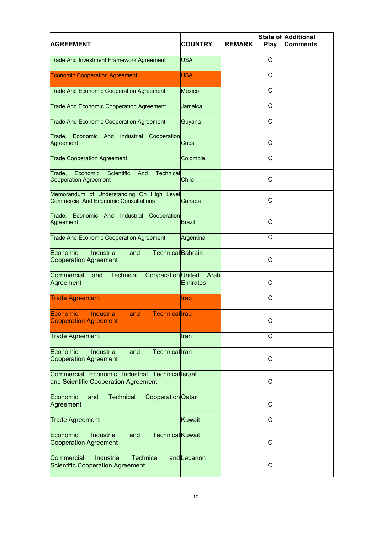| <b>AGREEMENT</b>                                                                          | <b>COUNTRY</b>          | <b>REMARK</b> | Play         | State of Additional<br><b>Comments</b> |
|-------------------------------------------------------------------------------------------|-------------------------|---------------|--------------|----------------------------------------|
| <b>Trade And Investment Framework Agreement</b>                                           | <b>USA</b>              |               | С            |                                        |
| <b>Economic Cooperation Agreement</b>                                                     | <b>USA</b>              |               | C            |                                        |
| <b>Trade And Economic Cooperation Agreement</b>                                           | <b>Mexico</b>           |               | C            |                                        |
| <b>Trade And Economic Cooperation Agreement</b>                                           | Jamaica                 |               | $\mathsf{C}$ |                                        |
| <b>Trade And Economic Cooperation Agreement</b>                                           | Guyana                  |               | C            |                                        |
| Trade, Economic And Industrial<br>Cooperation<br>Agreement                                | Cuba                    |               | C            |                                        |
| <b>Trade Cooperation Agreement</b>                                                        | Colombia                |               | С            |                                        |
| Economic<br>Trade,<br>Scientific<br>Technical<br>And<br>Cooperation Agreement             | Chile                   |               | C            |                                        |
| Memorandum of Understanding On High Level<br><b>Commercial And Economic Consultations</b> | Canada                  |               | C            |                                        |
| Economic And<br>Industrial<br>Trade,<br>Cooperation<br>Agreement                          | <b>Brazil</b>           |               | C            |                                        |
| <b>Trade And Economic Cooperation Agreement</b>                                           | Argentina               |               | $\mathsf{C}$ |                                        |
| Economic<br>Industrial<br><b>Technical</b> Bahrain<br>and<br><b>Cooperation Agreement</b> |                         |               | C            |                                        |
| <b>Technical</b><br>Cooperation United<br>Commercial<br>and<br>Agreement                  | Arab<br><b>Emirates</b> |               | C            |                                        |
| <b>Trade Agreement</b>                                                                    | Iraq                    |               | C            |                                        |
| Technical Iraq<br>Economic<br><b>Industrial</b><br>and<br><b>Cooperation Agreement</b>    |                         |               | C            |                                        |
| <b>Trade Agreement</b>                                                                    | Iran                    |               | C            |                                        |
| Technical Iran<br>lEconomic<br>Industrial<br>and<br><b>Cooperation Agreement</b>          |                         |               | C            |                                        |
| Commercial Economic Industrial Technicallsrael<br>and Scientific Cooperation Agreement    |                         |               | C            |                                        |
| <b>Technical</b><br>Cooperation Qatar<br>Economic<br>and<br>Agreement                     |                         |               | C            |                                        |
| <b>Trade Agreement</b>                                                                    | <b>Kuwait</b>           |               | C            |                                        |
| <b>Technical</b> Kuwait<br>Economic<br>Industrial<br>and<br><b>Cooperation Agreement</b>  |                         |               | C            |                                        |
| Commercial<br>Industrial<br><b>Technical</b><br><b>Scientific Cooperation Agreement</b>   | and Lebanon             |               | C            |                                        |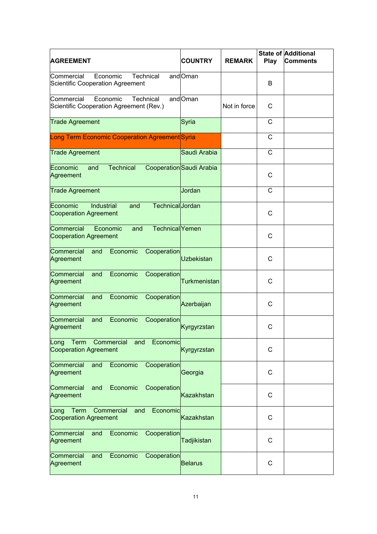| <b>AGREEMENT</b>                                                                         | <b>COUNTRY</b>           | <b>REMARK</b> | Play | <b>State of Additional</b><br><b>Comments</b> |
|------------------------------------------------------------------------------------------|--------------------------|---------------|------|-----------------------------------------------|
| Commercial<br>Economic<br>Technical<br>Scientific Cooperation Agreement                  | andOman                  |               | В    |                                               |
| Commercial<br>Economic<br><b>Technical</b><br>Scientific Cooperation Agreement (Rev.)    | andOman                  | Not in force  | С    |                                               |
| <b>Trade Agreement</b>                                                                   | Syria                    |               | С    |                                               |
| Long Term Economic Cooperation Agreement Syria                                           |                          |               | C    |                                               |
| <b>Trade Agreement</b>                                                                   | Saudi Arabia             |               | С    |                                               |
| Economic<br><b>Technical</b><br>and<br>Agreement                                         | Cooperation Saudi Arabia |               | C    |                                               |
| <b>Trade Agreement</b>                                                                   | Jordan                   |               | C    |                                               |
| Economic<br><b>Industrial</b><br>Technical Jordan<br>and<br><b>Cooperation Agreement</b> |                          |               | С    |                                               |
| Commercial<br>Technical Yemen<br>Economic<br>and<br><b>Cooperation Agreement</b>         |                          |               | C    |                                               |
| Economic<br>Commercial<br>Cooperation<br>and<br>Agreement                                | <b>Uzbekistan</b>        |               | C    |                                               |
| Economic<br>Commercial<br>Cooperation<br>and<br>Agreement                                | <b>Turkmenistan</b>      |               | C    |                                               |
| Economic<br>Commercial<br>and<br>Cooperation<br>Agreement                                | Azerbaijan               |               | C    |                                               |
| Economic<br>Commercial<br>and<br>Cooperation<br>Agreement                                | Kyrgyrzstan              |               | С    |                                               |
| Term<br>Economic<br>Long<br>Commercial<br>and<br><b>Cooperation Agreement</b>            | Kyrgyrzstan              |               | C    |                                               |
| Economic<br>Commercial<br>and<br>Cooperation<br>Agreement                                | Georgia                  |               | C    |                                               |
| Commercial<br>Economic<br>and<br>Cooperation<br>Agreement                                | <b>Kazakhstan</b>        |               | C    |                                               |
| Term<br>Economic<br>Commercial<br>and<br>Long<br><b>Cooperation Agreement</b>            | <b>Kazakhstan</b>        |               | C    |                                               |
| Economic<br>Commercial<br>Cooperation<br>and<br>Agreement                                | Tadjikistan              |               | C    |                                               |
| Commercial<br>Economic<br>Cooperation<br>and<br>Agreement                                | <b>Belarus</b>           |               | C    |                                               |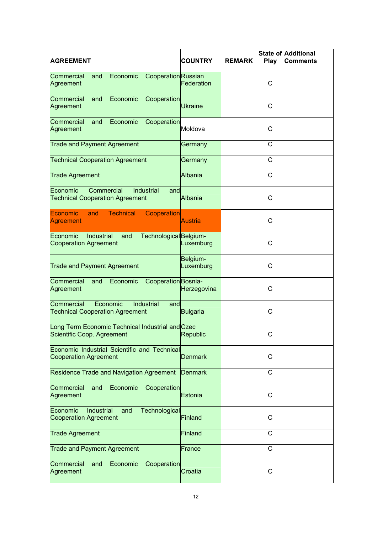| <b>AGREEMENT</b>                                                                        | <b>COUNTRY</b>        | <b>REMARK</b> | Play | <b>State of Additional</b><br> Comments |
|-----------------------------------------------------------------------------------------|-----------------------|---------------|------|-----------------------------------------|
| Commercial<br>Economic<br>CooperationRussian<br>and<br>Agreement                        | Federation            |               | С    |                                         |
| Commercial<br>Economic<br>Cooperation<br>and<br>Agreement                               | <b>Ukraine</b>        |               | C    |                                         |
| Economic<br>Commercial<br>Cooperation<br>and<br>Agreement                               | Moldova               |               | C    |                                         |
| <b>Trade and Payment Agreement</b>                                                      | Germany               |               | C    |                                         |
| <b>Technical Cooperation Agreement</b>                                                  | Germany               |               | C    |                                         |
| <b>Trade Agreement</b>                                                                  | Albania               |               | C    |                                         |
| Economic<br>Commercial<br>Industrial<br>and<br><b>Technical Cooperation Agreement</b>   | <b>Albania</b>        |               | С    |                                         |
| <b>Technical</b><br>Economic<br>and<br>Cooperation<br>Agreement                         | Austria               |               | C    |                                         |
| Economic<br>Industrial<br>Technological Belgium-<br>and<br><b>Cooperation Agreement</b> | Luxemburg             |               | C    |                                         |
| <b>Trade and Payment Agreement</b>                                                      | Belgium-<br>Luxemburg |               | C    |                                         |
| Commercial<br>Economic<br>Cooperation Bosnia-<br>and<br>Agreement                       | Herzegovina           |               | C    |                                         |
| Economic<br>Commercial<br>Industrial<br>and<br><b>Technical Cooperation Agreement</b>   | <b>Bulgaria</b>       |               | C    |                                         |
| Long Term Economic Technical Industrial and Czec<br>Scientific Coop. Agreement          | <b>Republic</b>       |               | C    |                                         |
| Economic Industrial Scientific and Technical<br><b>Cooperation Agreement</b>            | <b>Denmark</b>        |               | С    |                                         |
| <b>Residence Trade and Navigation Agreement</b>                                         | <b>Denmark</b>        |               | С    |                                         |
| Commercial<br>Economic<br>and<br>Cooperation<br>Agreement                               | Estonia               |               | С    |                                         |
| Industrial<br>Technological<br>Economic<br>and<br><b>Cooperation Agreement</b>          | Finland               |               | С    |                                         |
| <b>Trade Agreement</b>                                                                  | Finland               |               | С    |                                         |
| <b>Trade and Payment Agreement</b>                                                      | France                |               | C    |                                         |
| Commercial<br>Economic<br>and<br>Cooperation<br>Agreement                               | Croatia               |               | С    |                                         |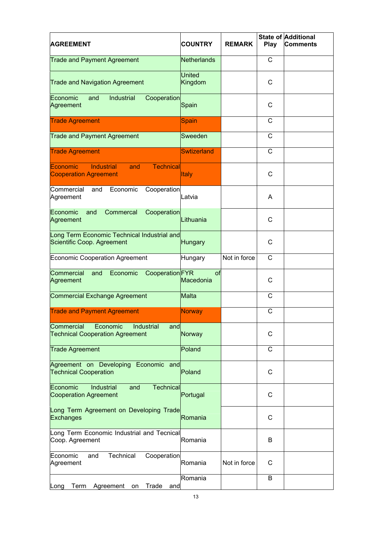| <b>AGREEMENT</b>                                                                                | <b>COUNTRY</b>           | <b>REMARK</b> | Play         | State of Additional<br>Comments |
|-------------------------------------------------------------------------------------------------|--------------------------|---------------|--------------|---------------------------------|
| <b>Trade and Payment Agreement</b>                                                              | Netherlands              |               | C            |                                 |
| <b>Trade and Navigation Agreement</b>                                                           | <b>United</b><br>Kingdom |               | C            |                                 |
| Economic<br>Industrial<br>Cooperation<br>and<br>Agreement                                       | Spain                    |               | С            |                                 |
| <b>Trade Agreement</b>                                                                          | Spain                    |               | C            |                                 |
| <b>Trade and Payment Agreement</b>                                                              | Sweeden                  |               | C            |                                 |
| <b>Trade Agreement</b>                                                                          | <b>Swtizerland</b>       |               | $\mathsf{C}$ |                                 |
| <b>Technical</b><br><b>Economic</b><br><b>Industrial</b><br>and<br><b>Cooperation Agreement</b> | <b>Italy</b>             |               | C            |                                 |
| Commercial<br>Economic<br>Cooperation<br>and<br>Agreement                                       | Latvia                   |               | A            |                                 |
| Economic<br>Commercal<br>Cooperation<br>and<br>Agreement                                        | Lithuania                |               | C            |                                 |
| Long Term Economic Technical Industrial and<br>Scientific Coop. Agreement                       | <b>Hungary</b>           |               | C            |                                 |
| <b>Economic Cooperation Agreement</b>                                                           | Hungary                  | Not in force  | C            |                                 |
| Commercial<br>Economic<br>Cooperation FYR<br>and<br>Agreement                                   | of<br>Macedonia          |               | C            |                                 |
| Commercial Exchange Agreement                                                                   | Malta                    |               | C            |                                 |
| <b>Trade and Payment Agreement</b>                                                              | Norway                   |               | C            |                                 |
| Economic<br>Commercial<br>Industrial<br>and<br><b>Technical Cooperation Agreement</b>           | Norway                   |               | С            |                                 |
| <b>Trade Agreement</b>                                                                          | Poland                   |               | С            |                                 |
| Agreement on Developing Economic and<br><b>Technical Cooperation</b>                            | Poland                   |               | C            |                                 |
| Economic<br>Industrial<br><b>Technical</b><br>and<br><b>Cooperation Agreement</b>               | Portugal                 |               | C            |                                 |
| Long Term Agreement on Developing Trade<br><b>Exchanges</b>                                     | Romania                  |               | C            |                                 |
| Long Term Economic Industrial and Tecnical<br>Coop. Agreement                                   | Romania                  |               | B            |                                 |
| Technical<br>Economic<br>and<br>Cooperation<br>Agreement                                        | Romania                  | Not in force  | С            |                                 |
| Trade<br>Term<br>Agreement<br>and<br>Long<br>on                                                 | Romania                  |               | B            |                                 |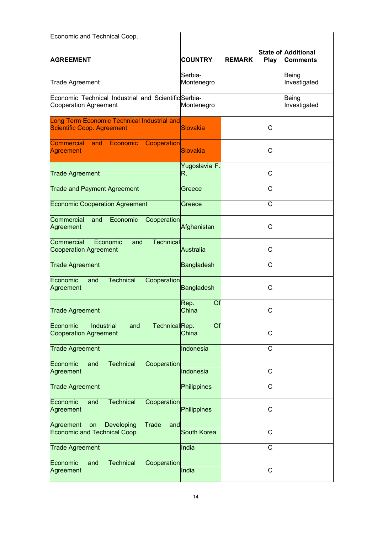| Economic and Technical Coop.                                                         |                       |               |      |                                               |
|--------------------------------------------------------------------------------------|-----------------------|---------------|------|-----------------------------------------------|
| <b>AGREEMENT</b>                                                                     | <b>COUNTRY</b>        | <b>REMARK</b> | Play | <b>State of Additional</b><br><b>Comments</b> |
| <b>Trade Agreement</b>                                                               | Serbia-<br>Montenegro |               |      | Being<br>Investigated                         |
| Economic Technical Industrial and Scientific Serbia-<br><b>Cooperation Agreement</b> | Montenegro            |               |      | Being<br>Investigated                         |
| Long Term Economic Technical Industrial and<br>Scientific Coop. Agreement            | <b>Slovakia</b>       |               | C    |                                               |
| Commercial and Economic Cooperation<br>Agreement                                     | <b>Slovakia</b>       |               | C    |                                               |
| <b>Trade Agreement</b>                                                               | Yugoslavia F.<br>R.   |               | C    |                                               |
| <b>Trade and Payment Agreement</b>                                                   | Greece                |               | C    |                                               |
| <b>Economic Cooperation Agreement</b>                                                | Greece                |               | C    |                                               |
| Commercial<br>and<br>Economic<br>Cooperation<br>Agreement                            | Afghanistan           |               | C    |                                               |
| Commercial<br>Economic<br><b>Technical</b><br>and<br><b>Cooperation Agreement</b>    | <b>Australia</b>      |               | C    |                                               |
| <b>Trade Agreement</b>                                                               | <b>Bangladesh</b>     |               | C    |                                               |
| <b>Technical</b><br>Economic<br>Cooperation<br>and<br>Agreement                      | <b>Bangladesh</b>     |               | C    |                                               |
| <b>Trade Agreement</b>                                                               | Of<br>Rep.<br>China   |               | C    |                                               |
| Economic<br>Industrial<br>TechnicalRep.<br>and<br><b>Cooperation Agreement</b>       | Of<br>China           |               | C    |                                               |
| <b>Trade Agreement</b>                                                               | Indonesia             |               | C    |                                               |
| <b>Technical</b><br>Cooperation<br>Economic<br>and<br>Agreement                      | Indonesia             |               | C    |                                               |
| <b>Trade Agreement</b>                                                               | Philippines           |               | C    |                                               |
| Economic<br>and<br><b>Technical</b><br>Cooperation<br>Agreement                      | Philippines           |               | C    |                                               |
| Agreement<br>Developing<br><b>Trade</b><br>on<br>and<br>Economic and Technical Coop. | South Korea           |               | C    |                                               |
| <b>Trade Agreement</b>                                                               | India                 |               | C    |                                               |
| <b>Technical</b><br>Cooperation<br>Economic<br>and<br>Agreement                      | India                 |               | C    |                                               |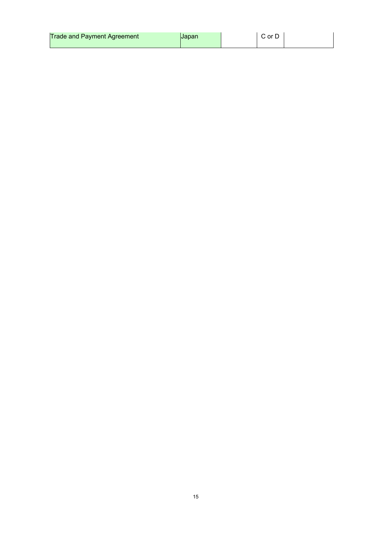| <b>Trade and Payment Agreement</b> | <b>IJapan</b> |  | or D |  |
|------------------------------------|---------------|--|------|--|
|------------------------------------|---------------|--|------|--|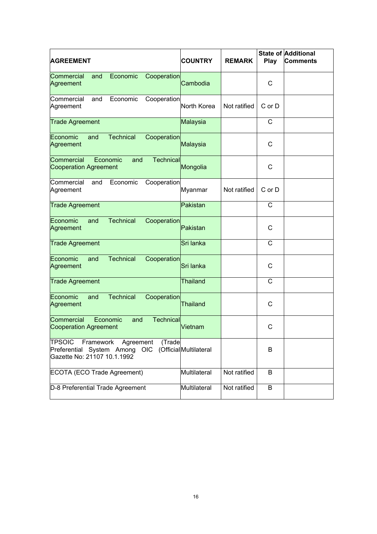| <b>AGREEMENT</b>                                                                                                  | <b>COUNTRY</b>         | <b>REMARK</b> | Play   | <b>State of Additional</b><br>lComments |
|-------------------------------------------------------------------------------------------------------------------|------------------------|---------------|--------|-----------------------------------------|
| Economic<br>Cooperation<br>Commercial<br>and<br>Agreement                                                         | Cambodia               |               | С      |                                         |
| Commercial<br>Economic<br>Cooperation<br>and<br>Agreement                                                         | North Korea            | Not ratified  | C or D |                                         |
| <b>Trade Agreement</b>                                                                                            | Malaysia               |               | C      |                                         |
| Economic<br><b>Technical</b><br>Cooperation<br>and<br>Agreement                                                   | Malaysia               |               | С      |                                         |
| Commercial<br>Economic<br>Technical<br>and<br><b>Cooperation Agreement</b>                                        | Mongolia               |               | С      |                                         |
| Commercial<br>Economic<br>Cooperation<br>and<br>Agreement                                                         | Myanmar                | Not ratified  | C or D |                                         |
| <b>Trade Agreement</b>                                                                                            | Pakistan               |               | С      |                                         |
| <b>Technical</b><br>Economic<br>Cooperation<br>and<br>Agreement                                                   | Pakistan               |               | С      |                                         |
| <b>Trade Agreement</b>                                                                                            | Sri lanka              |               | C      |                                         |
| <b>Technical</b><br>Economic<br>Cooperation<br>and<br>Agreement                                                   | Sri lanka              |               | C      |                                         |
| <b>Trade Agreement</b>                                                                                            | <b>Thailand</b>        |               | C      |                                         |
| <b>Technical</b><br>Economic<br>Cooperation<br>and<br>Agreement                                                   | <b>Thailand</b>        |               | C      |                                         |
| Commercial<br>Economic<br><b>Technical</b><br>and<br><b>Cooperation Agreement</b>                                 | Vietnam                |               | С      |                                         |
| <b>TPSOIC</b><br>Framework<br>Agreement<br>(Trade<br>Preferential System Among OIC<br>Gazette No: 21107 10.1.1992 | (Official Multilateral |               | B      |                                         |
| ECOTA (ECO Trade Agreement)                                                                                       | Multilateral           | Not ratified  | B      |                                         |
| D-8 Preferential Trade Agreement                                                                                  | Multilateral           | Not ratified  | B      |                                         |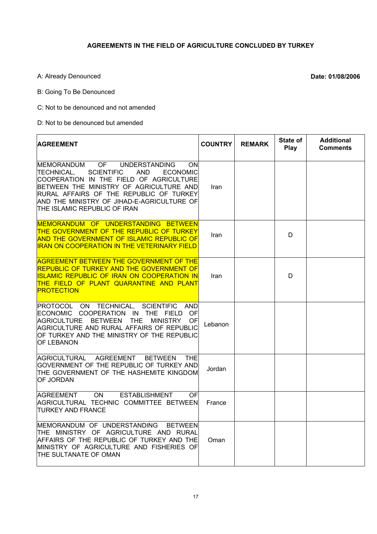### **AGREEMENTS IN THE FIELD OF AGRICULTURE CONCLUDED BY TURKEY**

A: Already Denounced **Date: 01/08/2006** 

Ē

B: Going To Be Denounced

C: Not to be denounced and not amended

D: Not to be denounced but amended

| <b>AGREEMENT</b>                                                                                                                                                                                                                                                                                                                          | <b>COUNTRY</b> | <b>REMARK</b> | State of<br>Play | <b>Additional</b><br><b>Comments</b> |
|-------------------------------------------------------------------------------------------------------------------------------------------------------------------------------------------------------------------------------------------------------------------------------------------------------------------------------------------|----------------|---------------|------------------|--------------------------------------|
| OF<br><b>UNDERSTANDING</b><br>IMEMORANDUM<br><b>ON</b><br><b>SCIENTIFIC</b><br>TECHNICAL,<br><b>AND</b><br><b>ECONOMIC</b><br>COOPERATION IN THE FIELD OF AGRICULTURE<br>BETWEEN THE MINISTRY OF AGRICULTURE AND<br>RURAL AFFAIRS OF THE REPUBLIC OF TURKEY<br>AND THE MINISTRY OF JIHAD-E-AGRICULTURE OF<br>THE ISLAMIC REPUBLIC OF IRAN | Iran           |               |                  |                                      |
| MEMORANDUM OF UNDERSTANDING BETWEEN<br>THE GOVERNMENT OF THE REPUBLIC OF TURKEY<br>AND THE GOVERNMENT OF ISLAMIC REPUBLIC OF<br><b>IRAN ON COOPERATION IN THE VETERINARY FIELD</b>                                                                                                                                                        | Iran           |               | D                |                                      |
| <b>AGREEMENT BETWEEN THE GOVERNMENT OF THE</b><br>REPUBLIC OF TURKEY AND THE GOVERNMENT OF<br><b>ISLAMIC REPUBLIC OF IRAN ON COOPERATION IN</b><br><u>THE FIELD OF PLANT QUARANTINE AND PLANT</u><br><b>PROTECTION</b>                                                                                                                    | Iran           |               | D                |                                      |
| PROTOCOL ON TECHNICAL, SCIENTIFIC AND<br>ECONOMIC COOPERATION IN THE FIELD<br>OF<br>AGRICULTURE BETWEEN THE<br><b>MINISTRY</b><br>OF<br>AGRICULTURE AND RURAL AFFAIRS OF REPUBLIC<br>IOF TURKEY AND THE MINISTRY OF THE REPUBLIC<br><b>OF LEBANON</b>                                                                                     | Lebanon        |               |                  |                                      |
| AGRICULTURAL AGREEMENT<br><b>BETWEEN</b><br><b>THE</b><br>GOVERNMENT OF THE REPUBLIC OF TURKEY AND<br>THE GOVERNMENT OF THE HASHEMITE KINGDOM<br>OF JORDAN                                                                                                                                                                                | Jordan         |               |                  |                                      |
| ON<br><b>ESTABLISHMENT</b><br>AGREEMENT<br>OF<br>AGRICULTURAL TECHNIC COMMITTEE BETWEEN<br><b>TURKEY AND FRANCE</b>                                                                                                                                                                                                                       | France         |               |                  |                                      |
| MEMORANDUM OF UNDERSTANDING<br><b>BETWEEN</b><br>THE MINISTRY OF AGRICULTURE AND RURAL<br>AFFAIRS OF THE REPUBLIC OF TURKEY AND THE<br>MINISTRY OF AGRICULTURE AND FISHERIES OF<br>THE SULTANATE OF OMAN                                                                                                                                  | Oman           |               |                  |                                      |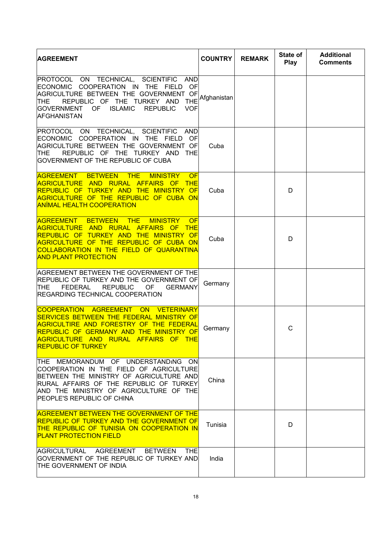| <b>AGREEMENT</b>                                                                                                                                                                                                                                                                                                    | <b>COUNTRY</b> | <b>REMARK</b> | State of<br>Play | <b>Additional</b><br><b>Comments</b> |
|---------------------------------------------------------------------------------------------------------------------------------------------------------------------------------------------------------------------------------------------------------------------------------------------------------------------|----------------|---------------|------------------|--------------------------------------|
| PROTOCOL ON TECHNICAL, SCIENTIFIC<br>AND<br>ECONOMIC COOPERATION IN THE<br>FIELD<br>OF<br>AGRICULTURE BETWEEN THE GOVERNMENT OF<br>REPUBLIC OF THE TURKEY AND<br><b>THE</b><br><b>THE</b><br><b>ISLAMIC</b><br><b>REPUBLIC</b><br> GOVERNMENT<br>OF.<br><b>VOF</b><br><b>IAFGHANISTAN</b>                           | Afghanistan    |               |                  |                                      |
| PROTOCOL ON TECHNICAL, SCIENTIFIC AND<br>ECONOMIC COOPERATION IN THE FIELD<br>OFI<br>AGRICULTURE BETWEEN THE GOVERNMENT OF<br>REPUBLIC OF THE TURKEY AND THE<br><b>ITHE</b><br>GOVERNMENT OF THE REPUBLIC OF CUBA                                                                                                   | Cuba           |               |                  |                                      |
| <b>THE</b><br><b>AGREEMENT</b><br><b>BETWEEN</b><br><b>MINISTRY</b><br><b>OF</b><br><b>AGRICULTURE AND RURAL AFFAIRS OF THE</b><br>REPUBLIC OF TURKEY AND THE MINISTRY OF<br>AGRICULTURE OF THE REPUBLIC OF CUBA ON<br><b>ANIMAL HEALTH COOPERATION</b>                                                             | Cuba           |               | D                |                                      |
| <b>AGREEMENT BETWEEN</b><br>$\overline{\phantom{a}}$ THE<br><b>MINISTRY</b><br><b>OF</b><br>AGRICULTURE AND RURAL<br><b>AFFAIRS OF</b><br><b>THE</b><br>REPUBLIC OF TURKEY AND THE MINISTRY OF<br>AGRICULTURE OF THE REPUBLIC OF CUBA ON<br>COLLABORATION IN THE FIELD OF QUARANTINA<br><b>AND PLANT PROTECTION</b> | Cuba           |               | D                |                                      |
| AGREEMENT BETWEEN THE GOVERNMENT OF THE<br>REPUBLIC OF TURKEY AND THE GOVERNMENT OF<br>FEDERAL<br><b>ITHE</b><br>REPUBLIC<br>OF.<br><b>GERMANY</b><br><b>REGARDING TECHNICAL COOPERATION</b>                                                                                                                        | Germany        |               |                  |                                      |
| COOPERATION AGREEMENT ON VETERINARY<br><b>SERVICES BETWEEN THE FEDERAL MINISTRY OF</b><br><b>AGRICULTIRE AND FORESTRY OF THE FEDERAL</b><br>REPUBLIC OF GERMANY AND THE MINISTRY OF<br>AGRICULTURE AND RURAL AFFAIRS OF THE<br><b>REPUBLIC OF TURKEY</b>                                                            | Germany        |               | С                |                                      |
| THE MEMORANDUM OF UNDERSTANDING ON<br>COOPERATION IN THE FIELD OF AGRICULTURE<br>BETWEEN THE MINISTRY OF AGRICULTURE AND<br>RURAL AFFAIRS OF THE REPUBLIC OF TURKEY<br>AND THE MINISTRY OF AGRICULTURE OF THE<br><b>PEOPLE'S REPUBLIC OF CHINA</b>                                                                  | China          |               |                  |                                      |
| <b>AGREEMENT BETWEEN THE GOVERNMENT OF THE</b><br><b>REPUBLIC OF TURKEY AND THE GOVERNMENT OF</b><br>THE REPUBLIC OF TUNISIA ON COOPERATION IN<br><b>PLANT PROTECTION FIELD</b>                                                                                                                                     | Tunisia        |               | D                |                                      |
| AGRICULTURAL AGREEMENT BETWEEN<br><b>THE</b><br>GOVERNMENT OF THE REPUBLIC OF TURKEY AND<br><b>THE GOVERNMENT OF INDIA</b>                                                                                                                                                                                          | India          |               |                  |                                      |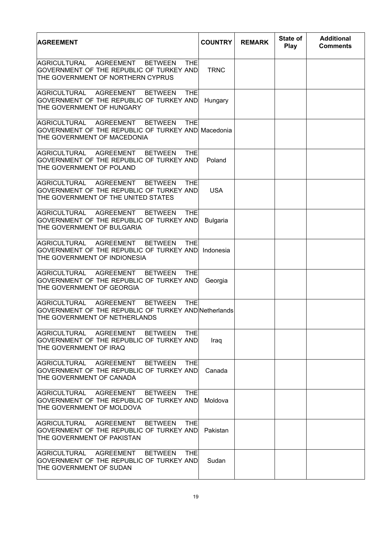| <b>AGREEMENT</b>                                                                                                                                | <b>COUNTRY</b>  | <b>REMARK</b> | State of<br><b>Play</b> | <b>Additional</b><br><b>Comments</b> |
|-------------------------------------------------------------------------------------------------------------------------------------------------|-----------------|---------------|-------------------------|--------------------------------------|
| AGRICULTURAL AGREEMENT<br><b>BETWEEN</b><br><b>THE</b><br>GOVERNMENT OF THE REPUBLIC OF TURKEY AND<br>THE GOVERNMENT OF NORTHERN CYPRUS         | <b>TRNC</b>     |               |                         |                                      |
| AGREEMENT<br>IAGRICULTURAL<br><b>BETWEEN</b><br>THEI<br>GOVERNMENT OF THE REPUBLIC OF TURKEY AND<br>THE GOVERNMENT OF HUNGARY                   | Hungary         |               |                         |                                      |
| <b>BETWEEN</b><br>AGRICULTURAL AGREEMENT<br><b>THE</b><br>GOVERNMENT OF THE REPUBLIC OF TURKEY AND Macedonia<br>THE GOVERNMENT OF MACEDONIA     |                 |               |                         |                                      |
| AGRICULTURAL AGREEMENT BETWEEN<br><b>THE</b><br>GOVERNMENT OF THE REPUBLIC OF TURKEY AND<br>THE GOVERNMENT OF POLAND                            | Poland          |               |                         |                                      |
| AGRICULTURAL AGREEMENT<br><b>BETWEEN</b><br><b>THE</b><br>GOVERNMENT OF THE REPUBLIC OF TURKEY AND<br>THE GOVERNMENT OF THE UNITED STATES       | <b>USA</b>      |               |                         |                                      |
| AGRICULTURAL<br>AGREEMENT<br><b>BETWEEN</b><br><b>THE</b><br>GOVERNMENT OF THE REPUBLIC OF TURKEY AND<br>THE GOVERNMENT OF BULGARIA             | <b>Bulgaria</b> |               |                         |                                      |
| AGRICULTURAL<br><b>AGREEMENT</b><br><b>BETWEEN</b><br><b>THEI</b><br>GOVERNMENT OF THE REPUBLIC OF TURKEY AND<br>THE GOVERNMENT OF INDIONESIA   | Indonesia       |               |                         |                                      |
| AGRICULTURAL AGREEMENT<br><b>BETWEEN</b><br><b>THE</b><br>GOVERNMENT OF THE REPUBLIC OF TURKEY AND<br>THE GOVERNMENT OF GEORGIA                 | Georgia         |               |                         |                                      |
| AGRICULTURAL AGREEMENT<br><b>BETWEEN</b><br><b>THE</b><br>GOVERNMENT OF THE REPUBLIC OF TURKEY AND Netherlands<br>THE GOVERNMENT OF NETHERLANDS |                 |               |                         |                                      |
| AGRICULTURAL AGREEMENT BETWEEN<br><b>THEI</b><br>GOVERNMENT OF THE REPUBLIC OF TURKEY AND<br>THE GOVERNMENT OF IRAQ                             | Iraq            |               |                         |                                      |
| AGRICULTURAL AGREEMENT<br><b>BETWEEN</b><br>THEI<br>GOVERNMENT OF THE REPUBLIC OF TURKEY AND<br>ITHE GOVERNMENT OF CANADA                       | Canada          |               |                         |                                      |
| AGRICULTURAL AGREEMENT BETWEEN<br><b>THEI</b><br>GOVERNMENT OF THE REPUBLIC OF TURKEY AND<br>THE GOVERNMENT OF MOLDOVA                          | Moldova         |               |                         |                                      |
| AGRICULTURAL AGREEMENT BETWEEN<br>THEI<br>GOVERNMENT OF THE REPUBLIC OF TURKEY AND <br>THE GOVERNMENT OF PAKISTAN                               | Pakistan        |               |                         |                                      |
| BETWEEN<br>AGRICULTURAL AGREEMENT<br>THEI<br>GOVERNMENT OF THE REPUBLIC OF TURKEY AND<br>THE GOVERNMENT OF SUDAN                                | Sudan           |               |                         |                                      |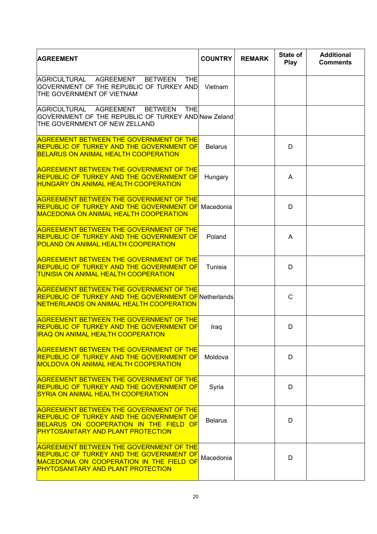| <b>AGREEMENT</b>                                                                                                                                                                                  | <b>COUNTRY</b> | <b>REMARK</b> | State of<br>Play | <b>Additional</b><br><b>Comments</b> |
|---------------------------------------------------------------------------------------------------------------------------------------------------------------------------------------------------|----------------|---------------|------------------|--------------------------------------|
| AGRICULTURAL<br>AGREEMENT<br><b>BETWEEN</b><br><b>THE</b><br>GOVERNMENT OF THE REPUBLIC OF TURKEY AND<br>THE GOVERNMENT OF VIETNAM                                                                | Vietnam        |               |                  |                                      |
| AGRICULTURAL AGREEMENT<br><b>BETWEEN</b><br><b>THE</b><br>GOVERNMENT OF THE REPUBLIC OF TURKEY AND New Zeland<br>THE GOVERNMENT OF NEW ZELLAND                                                    |                |               |                  |                                      |
| <b>AGREEMENT BETWEEN THE GOVERNMENT OF THE</b><br><b>REPUBLIC OF TURKEY AND THE GOVERNMENT OF</b><br><b>BELARUS ON ANIMAL HEALTH COOPERATION</b>                                                  | <b>Belarus</b> |               | D                |                                      |
| <b>AGREEMENT BETWEEN THE GOVERNMENT OF THE</b><br><b>REPUBLIC OF TURKEY AND THE GOVERNMENT OF</b><br><b>HUNGARY ON ANIMAL HEALTH COOPERATION</b>                                                  | Hungary        |               | A                |                                      |
| <b>AGREEMENT BETWEEN THE GOVERNMENT OF THE</b><br><b>REPUBLIC OF TURKEY AND THE GOVERNMENT OF Macedonia</b><br><b>MACEDONIA ON ANIMAL HEALTH COOPERATION</b>                                      |                |               | D                |                                      |
| <b>AGREEMENT BETWEEN THE GOVERNMENT OF THE</b><br><b>REPUBLIC OF TURKEY AND THE GOVERNMENT OF</b><br><b>POLAND ON ANIMAL HEALTH COOPERATION</b>                                                   | Poland         |               | A                |                                      |
| <b>AGREEMENT BETWEEN THE GOVERNMENT OF THE</b><br><b>REPUBLIC OF TURKEY AND THE GOVERNMENT OF</b><br><b>TUNISIA ON ANIMAL HEALTH COOPERATION</b>                                                  | Tunisia        |               | D                |                                      |
| <b>AGREEMENT BETWEEN THE GOVERNMENT OF THE</b><br><b>REPUBLIC OF TURKEY AND THE GOVERNMENT OF Netherlands</b><br>NETHERLANDS ON ANIMAL HEALTH COOPERATION                                         |                |               | C                |                                      |
| <b>AGREEMENT BETWEEN THE GOVERNMENT OF THE</b><br>REPUBLIC OF TURKEY AND THE GOVERNMENT OF<br><u>IIRAQ ON ANIMAL HEALTH COOPERATION</u>                                                           | Iraq           |               | D                |                                      |
| <b>AGREEMENT BETWEEN THE GOVERNMENT OF THE</b><br><b>REPUBLIC OF TURKEY AND THE GOVERNMENT OF</b><br><b>MOLDOVA ON ANIMAL HEALTH COOPERATION</b>                                                  | Moldova        |               | D                |                                      |
| <b>AGREEMENT BETWEEN THE GOVERNMENT OF THE</b><br><b>REPUBLIC OF TURKEY AND THE GOVERNMENT OF</b><br>SYRIA ON ANIMAL HEALTH COOPERATION                                                           | Syria          |               | D                |                                      |
| <b>AGREEMENT BETWEEN THE GOVERNMENT OF THE</b><br><b>REPUBLIC OF TURKEY AND THE GOVERNMENT OF</b><br><b>BELARUS ON COOPERATION IN THE FIELD OF</b><br><b>PHYTOSANITARY AND PLANT PROTECTION</b>   | <b>Belarus</b> |               | D                |                                      |
| <b>AGREEMENT BETWEEN THE GOVERNMENT OF THE</b><br><b>REPUBLIC OF TURKEY AND THE GOVERNMENT OF</b><br><b>MACEDONIA ON COOPERATION IN THE FIELD OF</b><br><b>PHYTOSANITARY AND PLANT PROTECTION</b> | Macedonia      |               | D                |                                      |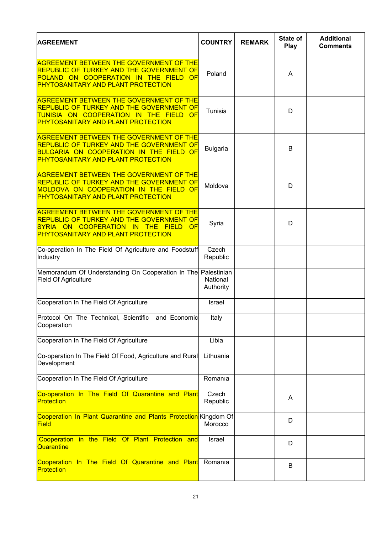| <b>AGREEMENT</b>                                                                                                                                                                                                   | <b>COUNTRY</b>        | <b>REMARK</b> | State of<br>Play | <b>Additional</b><br><b>Comments</b> |
|--------------------------------------------------------------------------------------------------------------------------------------------------------------------------------------------------------------------|-----------------------|---------------|------------------|--------------------------------------|
| <b>AGREEMENT BETWEEN THE GOVERNMENT OF THE</b><br><b>REPUBLIC OF TURKEY AND THE GOVERNMENT OF</b><br><b>POLAND ON COOPERATION IN THE</b><br><b>FIELD</b><br><b>OF</b><br><b>PHYTOSANITARY AND PLANT PROTECTION</b> | Poland                |               | A                |                                      |
| <b>AGREEMENT BETWEEN THE GOVERNMENT OF THE</b><br><b>REPUBLIC OF TURKEY AND THE GOVERNMENT OF</b><br><mark>TUNISIA ON COOPERATION IN THE FIELD OF</mark><br><b>PHYTOSANITARY AND PLANT PROTECTION</b>              | Tunisia               |               | D                |                                      |
| <b>AGREEMENT BETWEEN THE GOVERNMENT OF THE</b><br><b>REPUBLIC OF TURKEY AND THE GOVERNMENT OF</b><br><b>BULGARIA ON COOPERATION IN THE FIELD OF</b><br><b>PHYTOSANITARY AND PLANT PROTECTION</b>                   | <b>Bulgaria</b>       |               | B                |                                      |
| <b>AGREEMENT BETWEEN THE GOVERNMENT OF THE</b><br><b>REPUBLIC OF TURKEY AND THE GOVERNMENT OF</b><br><b>MOLDOVA ON COOPERATION IN THE FIELD OF</b><br><b>PHYTOSANITARY AND PLANT PROTECTION</b>                    | Moldova               |               | D                |                                      |
| <b>AGREEMENT BETWEEN THE GOVERNMENT OF THE</b><br><b>REPUBLIC OF TURKEY AND THE GOVERNMENT OF</b><br>SYRIA ON COOPERATION IN THE<br><u>FFELD</u><br><b>OF</b><br><b>PHYTOSANITARY AND PLANT PROTECTION</b>         | Syria                 |               | D                |                                      |
| Co-operation In The Field Of Agriculture and Foodstuff<br>Industry                                                                                                                                                 | Czech<br>Republic     |               |                  |                                      |
| Memorandum Of Understanding On Cooperation In The Palestinian<br><b>Field Of Agriculture</b>                                                                                                                       | National<br>Authority |               |                  |                                      |
| Cooperation In The Field Of Agriculture                                                                                                                                                                            | Israel                |               |                  |                                      |
| Protocol On The Technical, Scientific and Economic<br>Cooperation                                                                                                                                                  | Italy                 |               |                  |                                      |
| Cooperation In The Field Of Agriculture                                                                                                                                                                            | Libia                 |               |                  |                                      |
| Co-operation In The Field Of Food, Agriculture and Rural<br>Development                                                                                                                                            | Lithuania             |               |                  |                                      |
| Cooperation In The Field Of Agriculture                                                                                                                                                                            | Romania               |               |                  |                                      |
| Co-operation In The Field Of Quarantine and Plant<br>Protection                                                                                                                                                    | Czech<br>Republic     |               | A                |                                      |
| Cooperation In Plant Quarantine and Plants Protection Kingdom Of<br>Field                                                                                                                                          | Morocco               |               | D                |                                      |
| Cooperation in the Field Of Plant Protection and<br>Quarantine                                                                                                                                                     | Israel                |               | D                |                                      |
| Cooperation In The Field Of Quarantine and Plant<br>Protection                                                                                                                                                     | Romania               |               | B                |                                      |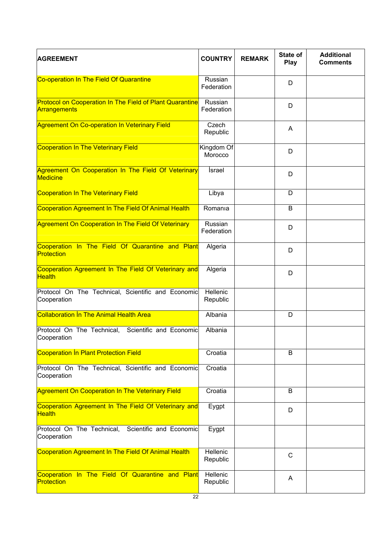| <b>AGREEMENT</b>                                                                | <b>COUNTRY</b>        | <b>REMARK</b> | State of<br>Play | <b>Additional</b><br><b>Comments</b> |
|---------------------------------------------------------------------------------|-----------------------|---------------|------------------|--------------------------------------|
| Co-operation In The Field Of Quarantine                                         | Russian<br>Federation |               | D                |                                      |
| <b>Protocol on Cooperation In The Field of Plant Quarantine</b><br>Arrangements | Russian<br>Federation |               | D                |                                      |
| <b>Agreement On Co-operation In Veterinary Field</b>                            | Czech<br>Republic     |               | A                |                                      |
| Cooperation In The Veterinary Field                                             | Kingdom Of<br>Morocco |               | D                |                                      |
| Agreement On Cooperation In The Field Of Veterinary<br><b>Medicine</b>          | İsrael                |               | D                |                                      |
| Cooperation In The Veterinary Field                                             | Libya                 |               | D                |                                      |
| Cooperation Agreement In The Field Of Animal Health                             | Romania               |               | B                |                                      |
| Agreement On Cooperation In The Field Of Veterinary                             | Russian<br>Federation |               | D                |                                      |
| Cooperation In The Field Of Quarantine and Plant<br>Protection                  | Algeria               |               | D                |                                      |
| Cooperation Agreement In The Field Of Veterinary and<br><b>Health</b>           | Algeria               |               | D                |                                      |
| Protocol On The Technical, Scientific and Economic<br>Cooperation               | Hellenic<br>Republic  |               |                  |                                      |
| <b>Collaboration In The Animal Health Area</b>                                  | Albania               |               | D                |                                      |
| Protocol On The Technical, Scientific and Economic<br>Cooperation               | Albania               |               |                  |                                      |
| Cooperation In Plant Protection Field                                           | Croatia               |               | B                |                                      |
| Protocol On The Technical, Scientific and Economic<br>Cooperation               | Croatia               |               |                  |                                      |
| <b>Agreement On Cooperation In The Veterinary Field</b>                         | Croatia               |               | B                |                                      |
| Cooperation Agreement In The Field Of Veterinary and<br><b>Health</b>           | Eygpt                 |               | D                |                                      |
| Protocol On The Technical, Scientific and Economic<br>Cooperation               | Eygpt                 |               |                  |                                      |
| Cooperation Agreement In The Field Of Animal Health                             | Hellenic<br>Republic  |               | $\mathsf{C}$     |                                      |
| Cooperation In The Field Of Quarantine and Plant<br>Protection                  | Hellenic<br>Republic  |               | A                |                                      |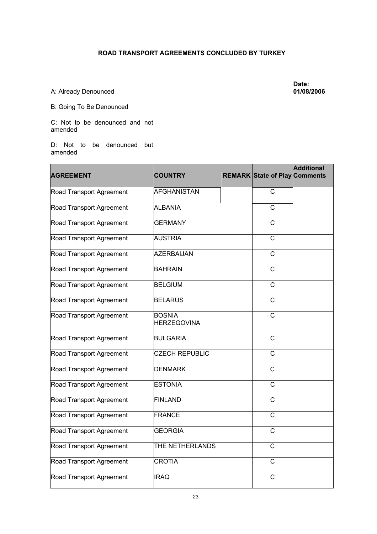## **ROAD TRANSPORT AGREEMENTS CONCLUDED BY TURKEY**

A: Already Denounced

**Date: 01/08/2006** 

B: Going To Be Denounced

C: Not to be denounced and not amended

D: Not to be denounced but amended

| <b>AGREEMENT</b>         | <b>COUNTRY</b>                      | <b>REMARK State of Play Comments</b> | <b>Additional</b> |
|--------------------------|-------------------------------------|--------------------------------------|-------------------|
| Road Transport Agreement | <b>AFGHANISTAN</b>                  | $\overline{C}$                       |                   |
| Road Transport Agreement | <b>ALBANIA</b>                      | $\overline{C}$                       |                   |
| Road Transport Agreement | <b>GERMANY</b>                      | $\mathsf{C}$                         |                   |
| Road Transport Agreement | AUSTRIA                             | C                                    |                   |
| Road Transport Agreement | <b>AZERBAIJAN</b>                   | $\mathsf{C}$                         |                   |
| Road Transport Agreement | <b>BAHRAIN</b>                      | $\overline{C}$                       |                   |
| Road Transport Agreement | <b>BELGIUM</b>                      | $\mathsf{C}$                         |                   |
| Road Transport Agreement | <b>BELARUS</b>                      | $\mathsf{C}$                         |                   |
| Road Transport Agreement | <b>BOSNIA</b><br><b>HERZEGOVINA</b> | $\mathsf{C}$                         |                   |
| Road Transport Agreement | <b>BULGARIA</b>                     | $\overline{C}$                       |                   |
| Road Transport Agreement | <b>CZECH REPUBLIC</b>               | $\mathsf{C}$                         |                   |
| Road Transport Agreement | <b>DENMARK</b>                      | $\mathsf{C}$                         |                   |
| Road Transport Agreement | <b>ESTONIA</b>                      | C                                    |                   |
| Road Transport Agreement | <b>FINLAND</b>                      | $\overline{C}$                       |                   |
| Road Transport Agreement | <b>FRANCE</b>                       | $\mathsf{C}$                         |                   |
| Road Transport Agreement | <b>GEORGIA</b>                      | $\mathsf{C}$                         |                   |
| Road Transport Agreement | THE NETHERLANDS                     | C                                    |                   |
| Road Transport Agreement | <b>CROTIA</b>                       | $\mathsf{C}$                         |                   |
| Road Transport Agreement | <b>IRAQ</b>                         | $\mathsf{C}$                         |                   |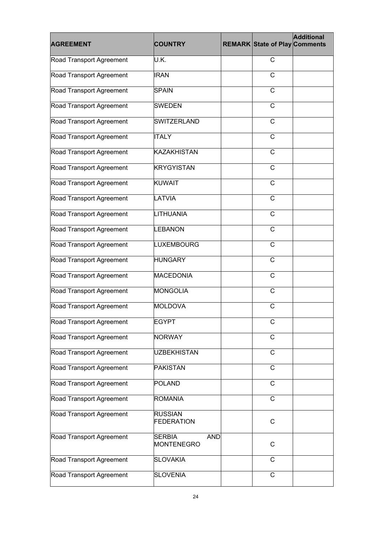| <b>AGREEMENT</b>         | <b>COUNTRY</b>                            | <b>REMARK State of Play Comments</b> | <b>Additional</b> |
|--------------------------|-------------------------------------------|--------------------------------------|-------------------|
| Road Transport Agreement | U.K.                                      | C                                    |                   |
| Road Transport Agreement | <b>IRAN</b>                               | C                                    |                   |
| Road Transport Agreement | <b>SPAIN</b>                              | C                                    |                   |
| Road Transport Agreement | <b>SWEDEN</b>                             | $\mathsf{C}$                         |                   |
| Road Transport Agreement | <b>SWITZERLAND</b>                        | C                                    |                   |
| Road Transport Agreement | <b>ITALY</b>                              | $\mathsf{C}$                         |                   |
| Road Transport Agreement | <b>KAZAKHISTAN</b>                        | $\mathsf{C}$                         |                   |
| Road Transport Agreement | <b>KRYGYISTAN</b>                         | C                                    |                   |
| Road Transport Agreement | <b>KUWAIT</b>                             | $\mathsf{C}$                         |                   |
| Road Transport Agreement | LATVIA                                    | $\mathsf{C}$                         |                   |
| Road Transport Agreement | <b>LITHUANIA</b>                          | $\mathsf{C}$                         |                   |
| Road Transport Agreement | <b>LEBANON</b>                            | $\mathsf{C}$                         |                   |
| Road Transport Agreement | <b>LUXEMBOURG</b>                         | $\mathsf{C}$                         |                   |
| Road Transport Agreement | <b>HUNGARY</b>                            | $\mathsf{C}$                         |                   |
| Road Transport Agreement | <b>MACEDONIA</b>                          | C                                    |                   |
| Road Transport Agreement | <b>MONGOLIA</b>                           | $\mathsf{C}$                         |                   |
| Road Transport Agreement | <b>MOLDOVA</b>                            | С                                    |                   |
| Road Transport Agreement | <b>EGYPT</b>                              | C                                    |                   |
| Road Transport Agreement | <b>NORWAY</b>                             | $\mathsf{C}$                         |                   |
| Road Transport Agreement | <b>UZBEKHISTAN</b>                        | C                                    |                   |
| Road Transport Agreement | <b>PAKISTAN</b>                           | $\mathsf{C}$                         |                   |
| Road Transport Agreement | POLAND                                    | $\mathsf{C}$                         |                   |
| Road Transport Agreement | <b>ROMANIA</b>                            | $\mathsf{C}$                         |                   |
| Road Transport Agreement | <b>RUSSIAN</b><br>FEDERATION              | C                                    |                   |
| Road Transport Agreement | <b>SERBIA</b><br><b>AND</b><br>MONTENEGRO | C                                    |                   |
| Road Transport Agreement | <b>SLOVAKIA</b>                           | C                                    |                   |
| Road Transport Agreement | <b>SLOVENIA</b>                           | $\mathsf{C}$                         |                   |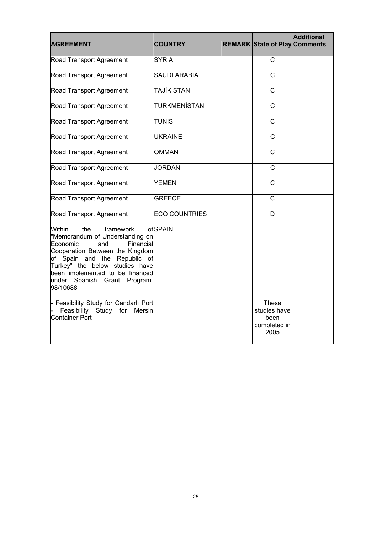| <b>AGREEMENT</b>                                                                                                                                                                                                                                                                         | <b>COUNTRY</b>       | <b>REMARK State of Play Comments</b>                         | <b>Additional</b> |
|------------------------------------------------------------------------------------------------------------------------------------------------------------------------------------------------------------------------------------------------------------------------------------------|----------------------|--------------------------------------------------------------|-------------------|
| Road Transport Agreement                                                                                                                                                                                                                                                                 | <b>SYRIA</b>         | $\mathsf{C}$                                                 |                   |
| Road Transport Agreement                                                                                                                                                                                                                                                                 | <b>SAUDI ARABIA</b>  | $\mathsf{C}$                                                 |                   |
| Road Transport Agreement                                                                                                                                                                                                                                                                 | <b>TAJİKİSTAN</b>    | $\mathsf{C}$                                                 |                   |
| Road Transport Agreement                                                                                                                                                                                                                                                                 | <b>TURKMENISTAN</b>  | $\overline{C}$                                               |                   |
| Road Transport Agreement                                                                                                                                                                                                                                                                 | <b>TUNIS</b>         | $\overline{C}$                                               |                   |
| Road Transport Agreement                                                                                                                                                                                                                                                                 | <b>UKRAINE</b>       | C                                                            |                   |
| Road Transport Agreement                                                                                                                                                                                                                                                                 | <b>OMMAN</b>         | $\mathsf{C}$                                                 |                   |
| Road Transport Agreement                                                                                                                                                                                                                                                                 | <b>JORDAN</b>        | $\overline{\text{c}}$                                        |                   |
| Road Transport Agreement                                                                                                                                                                                                                                                                 | <b>YEMEN</b>         | $\mathsf{C}$                                                 |                   |
| Road Transport Agreement                                                                                                                                                                                                                                                                 | <b>GREECE</b>        | $\mathsf{C}$                                                 |                   |
| Road Transport Agreement                                                                                                                                                                                                                                                                 | <b>ECO COUNTRIES</b> | D                                                            |                   |
| <b>Within</b><br>the<br>framework<br>"Memorandum of Understanding on<br>Financial<br>Economic<br>and<br>Cooperation Between the Kingdom<br>of Spain and the Republic of<br>Turkey" the below studies have<br>been implemented to be financed<br>under Spanish Grant Program.<br>98/10688 | ofSPAIN              |                                                              |                   |
| - Feasibility Study for Candarlı Port<br>Feasibility Study for Mersin<br>Container Port                                                                                                                                                                                                  |                      | <b>These</b><br>studies have<br>been<br>completed in<br>2005 |                   |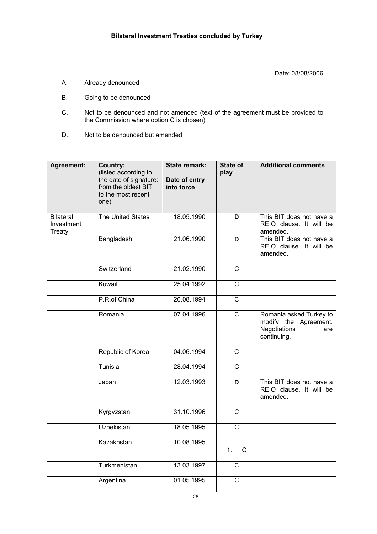Date: 08/08/2006

- A. Already denounced
- B. Going to be denounced
- C. Not to be denounced and not amended (text of the agreement must be provided to the Commission where option C is chosen)
- D. Not to be denounced but amended

| Agreement:                               | <b>Country:</b><br>(listed according to<br>the date of signature:<br>from the oldest BIT<br>to the most recent<br>one) | <b>State remark:</b><br>Date of entry<br>into force | State of<br>play        | <b>Additional comments</b>                                                             |
|------------------------------------------|------------------------------------------------------------------------------------------------------------------------|-----------------------------------------------------|-------------------------|----------------------------------------------------------------------------------------|
| <b>Bilateral</b><br>Investment<br>Treaty | The United States                                                                                                      | 18.05.1990                                          | D                       | This BIT does not have a<br>REIO clause. It will be<br>amended.                        |
|                                          | Bangladesh                                                                                                             | 21.06.1990                                          | D                       | This BIT does not have a<br>REIO clause. It will be<br>amended.                        |
|                                          | Switzerland                                                                                                            | 21.02.1990                                          | $\overline{C}$          |                                                                                        |
|                                          | Kuwait                                                                                                                 | 25.04.1992                                          | $\overline{\mathsf{C}}$ |                                                                                        |
|                                          | P.R.of China                                                                                                           | 20.08.1994                                          | $\overline{C}$          |                                                                                        |
|                                          | Romania                                                                                                                | 07.04.1996                                          | $\overline{\text{c}}$   | Romania asked Turkey to<br>modify the Agreement.<br>Negotiations<br>are<br>continuing. |
|                                          | Republic of Korea                                                                                                      | 04.06.1994                                          | C                       |                                                                                        |
|                                          | Tunisia                                                                                                                | 28.04.1994                                          | $\overline{C}$          |                                                                                        |
|                                          | Japan                                                                                                                  | 12.03.1993                                          | D                       | This BIT does not have a<br>REIO clause. It will be<br>amended.                        |
|                                          | Kyrgyzstan                                                                                                             | 31.10.1996                                          | $\mathsf{C}$            |                                                                                        |
|                                          | <b>Uzbekistan</b>                                                                                                      | 18.05.1995                                          | $\mathsf{C}$            |                                                                                        |
|                                          | Kazakhstan                                                                                                             | 10.08.1995                                          | $\mathsf C$<br>1.       |                                                                                        |
|                                          | Turkmenistan                                                                                                           | 13.03.1997                                          | $\mathsf C$             |                                                                                        |
|                                          | Argentina                                                                                                              | 01.05.1995                                          | $\mathsf C$             |                                                                                        |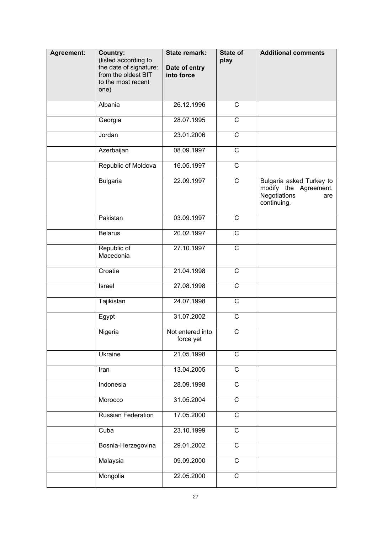| Agreement: | <b>Country:</b><br>(listed according to<br>the date of signature:<br>from the oldest BIT<br>to the most recent<br>one) | <b>State remark:</b><br>Date of entry<br>into force | State of<br>play        | <b>Additional comments</b>                                                              |
|------------|------------------------------------------------------------------------------------------------------------------------|-----------------------------------------------------|-------------------------|-----------------------------------------------------------------------------------------|
|            | Albania                                                                                                                | 26.12.1996                                          | $\overline{C}$          |                                                                                         |
|            | Georgia                                                                                                                | 28.07.1995                                          | $\overline{C}$          |                                                                                         |
|            | Jordan                                                                                                                 | 23.01.2006                                          | $\overline{C}$          |                                                                                         |
|            | Azerbaijan                                                                                                             | 08.09.1997                                          | $\overline{C}$          |                                                                                         |
|            | Republic of Moldova                                                                                                    | 16.05.1997                                          | $\overline{\text{c}}$   |                                                                                         |
|            | <b>Bulgaria</b>                                                                                                        | 22.09.1997                                          | $\overline{C}$          | Bulgaria asked Turkey to<br>modify the Agreement.<br>Negotiations<br>are<br>continuing. |
|            | Pakistan                                                                                                               | 03.09.1997                                          | $\overline{C}$          |                                                                                         |
|            | <b>Belarus</b>                                                                                                         | 20.02.1997                                          | $\overline{\mathsf{C}}$ |                                                                                         |
|            | Republic of<br>Macedonia                                                                                               | 27.10.1997                                          | $\overline{C}$          |                                                                                         |
|            | Croatia                                                                                                                | 21.04.1998                                          | $\mathsf C$             |                                                                                         |
|            | Israel                                                                                                                 | 27.08.1998                                          | $\mathsf C$             |                                                                                         |
|            | Tajikistan                                                                                                             | 24.07.1998                                          | $\mathsf C$             |                                                                                         |
|            | Egypt                                                                                                                  | 31.07.2002                                          | $\mathsf C$             |                                                                                         |
|            | Nigeria                                                                                                                | Not entered into<br>force yet                       | C                       |                                                                                         |
|            | Ukraine                                                                                                                | 21.05.1998                                          | $\overline{C}$          |                                                                                         |
|            | Iran                                                                                                                   | 13.04.2005                                          | $\overline{C}$          |                                                                                         |
|            | Indonesia                                                                                                              | 28.09.1998                                          | $\overline{C}$          |                                                                                         |
|            | Morocco                                                                                                                | 31.05.2004                                          | $\overline{C}$          |                                                                                         |
|            | Russian Federation                                                                                                     | 17.05.2000                                          | $\overline{C}$          |                                                                                         |
|            | Cuba                                                                                                                   | 23.10.1999                                          | $\overline{C}$          |                                                                                         |
|            | Bosnia-Herzegovina                                                                                                     | 29.01.2002                                          | $\overline{C}$          |                                                                                         |
|            | Malaysia                                                                                                               | 09.09.2000                                          | $\overline{C}$          |                                                                                         |
|            | Mongolia                                                                                                               | 22.05.2000                                          | $\overline{C}$          |                                                                                         |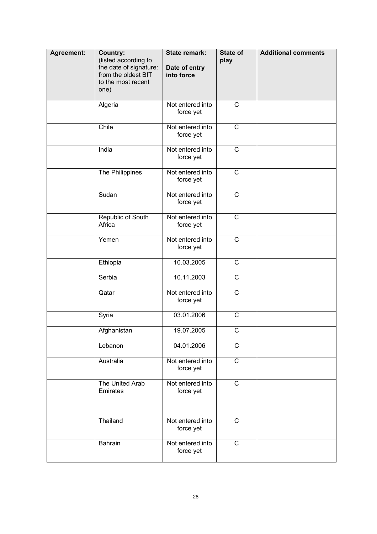| Agreement: | <b>Country:</b><br>(listed according to<br>the date of signature:<br>from the oldest BIT<br>to the most recent<br>one) | <b>State remark:</b><br>Date of entry<br>into force | State of<br>play        | <b>Additional comments</b> |
|------------|------------------------------------------------------------------------------------------------------------------------|-----------------------------------------------------|-------------------------|----------------------------|
|            | Algeria                                                                                                                | Not entered into<br>force yet                       | $\mathsf{C}$            |                            |
|            | Chile                                                                                                                  | Not entered into<br>force yet                       | $\overline{C}$          |                            |
|            | India                                                                                                                  | Not entered into<br>force yet                       | $\overline{\mathrm{c}}$ |                            |
|            | The Philippines                                                                                                        | Not entered into<br>force yet                       | $\overline{C}$          |                            |
|            | Sudan                                                                                                                  | Not entered into<br>force yet                       | $\mathsf{C}$            |                            |
|            | Republic of South<br>Africa                                                                                            | Not entered into<br>force yet                       | $\overline{C}$          |                            |
|            | Yemen                                                                                                                  | Not entered into<br>force yet                       | $\overline{C}$          |                            |
|            | Ethiopia                                                                                                               | 10.03.2005                                          | $\mathsf{C}$            |                            |
|            | Serbia                                                                                                                 | 10.11.2003                                          | $\mathsf{C}$            |                            |
|            | Qatar                                                                                                                  | Not entered into<br>force yet                       | $\mathsf{C}$            |                            |
|            | Syria                                                                                                                  | 03.01.2006                                          | $\mathsf{C}$            |                            |
|            | Afghanistan                                                                                                            | 19.07.2005                                          | $\mathsf{C}$            |                            |
|            | Lebanon                                                                                                                | 04.01.2006                                          | $\mathsf{C}$            |                            |
|            | Australia                                                                                                              | Not entered into<br>force yet                       | $\mathsf{C}$            |                            |
|            | The United Arab<br>Emirates                                                                                            | Not entered into<br>force yet                       | $\mathsf{C}$            |                            |
|            | Thailand                                                                                                               | Not entered into<br>force yet                       | $\mathsf{C}$            |                            |
|            | <b>Bahrain</b>                                                                                                         | Not entered into<br>force yet                       | C                       |                            |